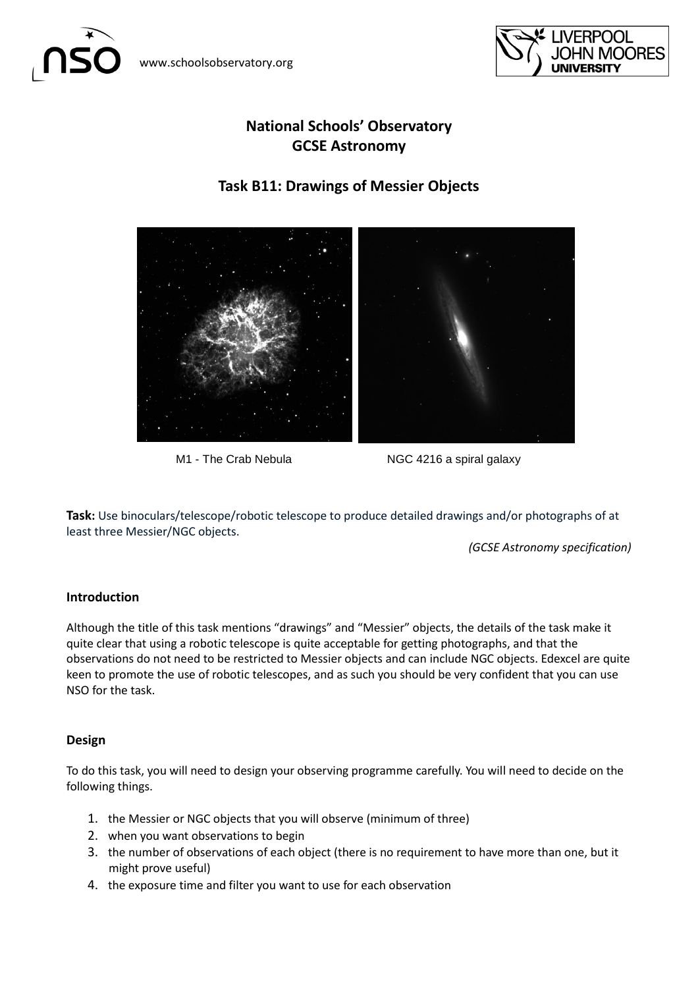



# **National Schools' Observatory GCSE Astronomy**

## **Task B11: Drawings of Messier Objects**



M1 - The Crab Nebula NGC 4216 a spiral galaxy

**Task:** Use binoculars/telescope/robotic telescope to produce detailed drawings and/or photographs of at least three Messier/NGC objects.

*(GCSE Astronomy specification)*

## **Introduction**

Although the title of this task mentions "drawings" and "Messier" objects, the details of the task make it quite clear that using a robotic telescope is quite acceptable for getting photographs, and that the observations do not need to be restricted to Messier objects and can include NGC objects. Edexcel are quite keen to promote the use of robotic telescopes, and as such you should be very confident that you can use NSO for the task.

#### **Design**

To do this task, you will need to design your observing programme carefully. You will need to decide on the following things.

- 1. the Messier or NGC objects that you will observe (minimum of three)
- 2. when you want observations to begin
- 3. the number of observations of each object (there is no requirement to have more than one, but it might prove useful)
- 4. the exposure time and filter you want to use for each observation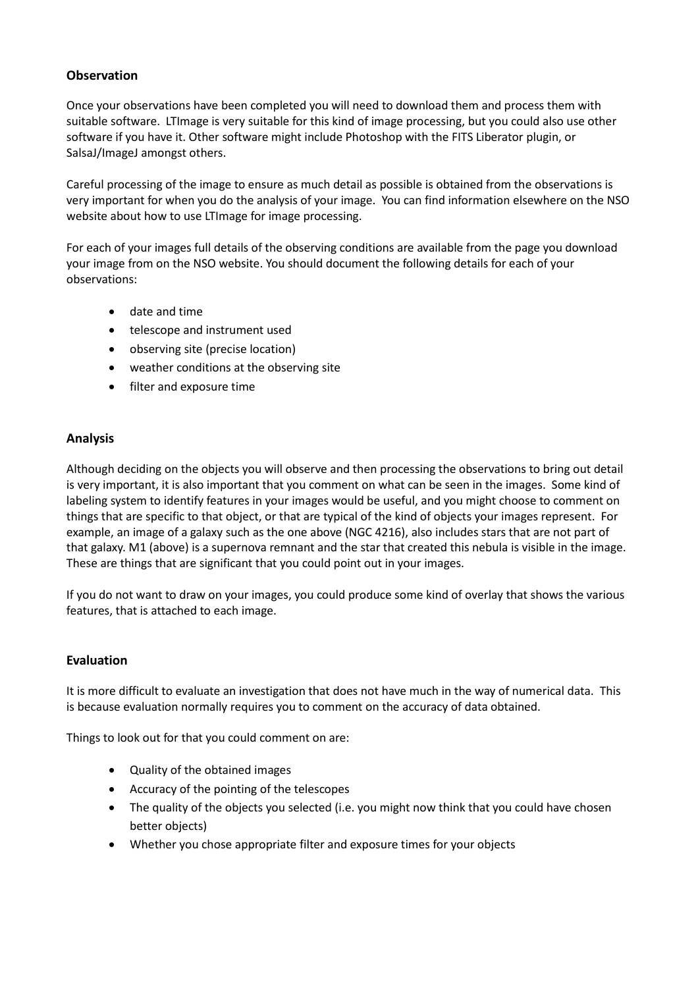### **Observation**

Once your observations have been completed you will need to download them and process them with suitable software. LTImage is very suitable for this kind of image processing, but you could also use other software if you have it. Other software might include Photoshop with the FITS Liberator plugin, or SalsaJ/ImageJ amongst others.

Careful processing of the image to ensure as much detail as possible is obtained from the observations is very important for when you do the analysis of your image. You can find information elsewhere on the NSO website about how to use LTImage for image processing.

For each of your images full details of the observing conditions are available from the page you download your image from on the NSO website. You should document the following details for each of your observations:

- date and time
- telescope and instrument used
- observing site (precise location)
- weather conditions at the observing site
- filter and exposure time

### **Analysis**

Although deciding on the objects you will observe and then processing the observations to bring out detail is very important, it is also important that you comment on what can be seen in the images. Some kind of labeling system to identify features in your images would be useful, and you might choose to comment on things that are specific to that object, or that are typical of the kind of objects your images represent. For example, an image of a galaxy such as the one above (NGC 4216), also includes stars that are not part of that galaxy. M1 (above) is a supernova remnant and the star that created this nebula is visible in the image. These are things that are significant that you could point out in your images.

If you do not want to draw on your images, you could produce some kind of overlay that shows the various features, that is attached to each image.

#### **Evaluation**

It is more difficult to evaluate an investigation that does not have much in the way of numerical data. This is because evaluation normally requires you to comment on the accuracy of data obtained.

Things to look out for that you could comment on are:

- Quality of the obtained images
- Accuracy of the pointing of the telescopes
- The quality of the objects you selected (i.e. you might now think that you could have chosen better objects)
- Whether you chose appropriate filter and exposure times for your objects